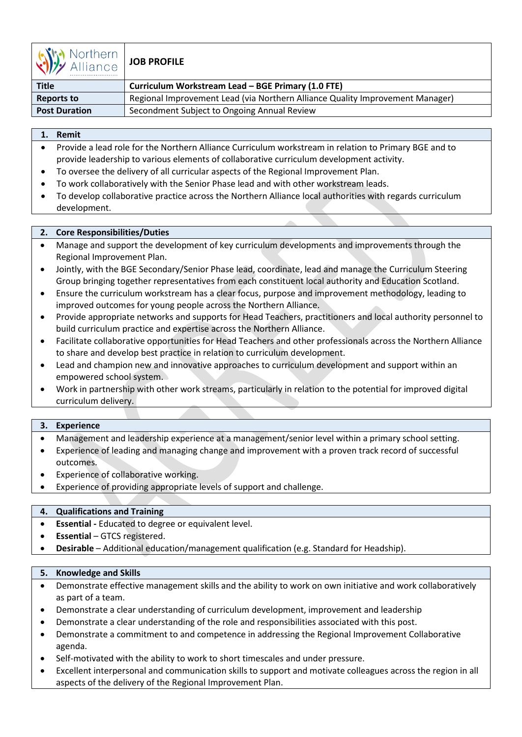

# **JOB PROFILE**

| <b>Title</b>         | Curriculum Workstream Lead - BGE Primary (1.0 FTE)                            |
|----------------------|-------------------------------------------------------------------------------|
| <b>Reports to</b>    | Regional Improvement Lead (via Northern Alliance Quality Improvement Manager) |
| <b>Post Duration</b> | Secondment Subject to Ongoing Annual Review                                   |

## **1. Remit**

- Provide a lead role for the Northern Alliance Curriculum workstream in relation to Primary BGE and to provide leadership to various elements of collaborative curriculum development activity.
- To oversee the delivery of all curricular aspects of the Regional Improvement Plan.
- To work collaboratively with the Senior Phase lead and with other workstream leads.
- To develop collaborative practice across the Northern Alliance local authorities with regards curriculum development.

## **2. Core Responsibilities/Duties**

- Manage and support the development of key curriculum developments and improvements through the Regional Improvement Plan.
- Jointly, with the BGE Secondary/Senior Phase lead, coordinate, lead and manage the Curriculum Steering Group bringing together representatives from each constituent local authority and Education Scotland.
- Ensure the curriculum workstream has a clear focus, purpose and improvement methodology, leading to improved outcomes for young people across the Northern Alliance.
- Provide appropriate networks and supports for Head Teachers, practitioners and local authority personnel to build curriculum practice and expertise across the Northern Alliance.
- Facilitate collaborative opportunities for Head Teachers and other professionals across the Northern Alliance to share and develop best practice in relation to curriculum development.
- Lead and champion new and innovative approaches to curriculum development and support within an empowered school system.
- Work in partnership with other work streams, particularly in relation to the potential for improved digital curriculum delivery.

#### **3. Experience**

- Management and leadership experience at a management/senior level within a primary school setting.
- Experience of leading and managing change and improvement with a proven track record of successful outcomes.
- Experience of collaborative working.
- Experience of providing appropriate levels of support and challenge.

# **4. Qualifications and Training**

- **Essential** Educated to degree or equivalent level.
- **Essential** GTCS registered.
- **Desirable** Additional education/management qualification (e.g. Standard for Headship).

#### **5. Knowledge and Skills**

- Demonstrate effective management skills and the ability to work on own initiative and work collaboratively as part of a team.
- Demonstrate a clear understanding of curriculum development, improvement and leadership
- Demonstrate a clear understanding of the role and responsibilities associated with this post.
- Demonstrate a commitment to and competence in addressing the Regional Improvement Collaborative agenda.
- Self-motivated with the ability to work to short timescales and under pressure.
- Excellent interpersonal and communication skills to support and motivate colleagues across the region in all aspects of the delivery of the Regional Improvement Plan.